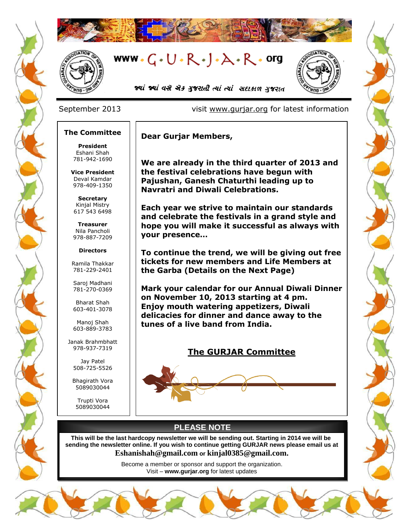



# www. $G \cdot U \cdot R \cdot J \cdot A \cdot R \cdot org$



જ્યાં જ્યાં વસે એક મુજરાતી ત્યાં ત્યાં સદાકાળ ગુજરાત

### September 2013 visit [www.gurjar.org](http://www.gurjar.org/) for latest information

### **The Committee**

**President** Eshani Shah 781-942-1690

**Vice President** Deval Kamdar 978-409-1350

**Secretary** Kinjal Mistry 617 543 6498

**Treasurer** Nila Pancholi 978-887-7209

#### **Directors**

Ramila Thakkar 781-229-2401

Saroj Madhani 781-270-0369

Bharat Shah 603-401-3078

Manoj Shah 603-889-3783

Janak Brahmbhatt 978-937-7319

> Jay Patel 508-725-5526

Bhagirath Vora 5089030044

Trupti Vora 5089030044 **Dear Gurjar Members,**

**We are already in the third quarter of 2013 and the festival celebrations have begun with Pajushan, Ganesh Chaturthi leading up to Navratri and Diwali Celebrations.**

**Each year we strive to maintain our standards and celebrate the festivals in a grand style and hope you will make it successful as always with your presence…**

**To continue the trend, we will be giving out free tickets for new members and Life Members at the Garba (Details on the Next Page)**

**Mark your calendar for our Annual Diwali Dinner on November 10, 2013 starting at 4 pm. Enjoy mouth watering appetizers, Diwali delicacies for dinner and dance away to the tunes of a live band from India.**

### **The GURJAR Committee**



### **PLEASE NOTE**

**This will be the last hardcopy newsletter we will be sending out. Starting in 2014 we will be sending the newsletter online. If you wish to continue getting GURJAR news please email us at [Eshanishah@gmail.com](mailto:Eshanishah@gmail.com) or [kinjal0385@gmail.com.](mailto:kinjal0385@gmail.com)**

> Become a member or sponsor and support the organization. Visit – **[www.gurjar.org](http://www.gurjar.org/)** for latest updates

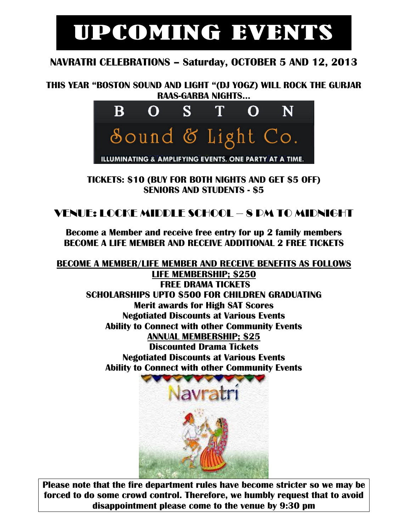# UPCOMING EVENTS

## **NAVRATRI CELEBRATIONS – Saturday, OCTOBER 5 AND 12, 2013**

**THIS YEAR "BOSTON SOUND AND LIGHT "(DJ YOGZ) WILL ROCK THE GURJAR RAAS-GARBA NIGHTS…**



**TICKETS: \$10 (BUY FOR BOTH NIGHTS AND GET \$5 OFF) SENIORS AND STUDENTS - \$5**

## VENUE: LOCKE MIDDLE SCHOOL – 8 PM TO MIDNIGHT

**Become a Member and receive free entry for up 2 family members BECOME A LIFE MEMBER AND RECEIVE ADDITIONAL 2 FREE TICKETS**

**BECOME A MEMBER/LIFE MEMBER AND RECEIVE BENEFITS AS FOLLOWS LIFE MEMBERSHIP; \$250 FREE DRAMA TICKETS SCHOLARSHIPS UPTO \$500 FOR CHILDREN GRADUATING Merit awards for High SAT Scores Negotiated Discounts at Various Events Ability to Connect with other Community Events ANNUAL MEMBERSHIP; \$25 Discounted Drama Tickets Negotiated Discounts at Various Events Ability to Connect with other Community Events**

**Please note that the fire department rules have become stricter so we may be forced to do some crowd control. Therefore, we humbly request that to avoid disappointment please come to the venue by 9:30 pm**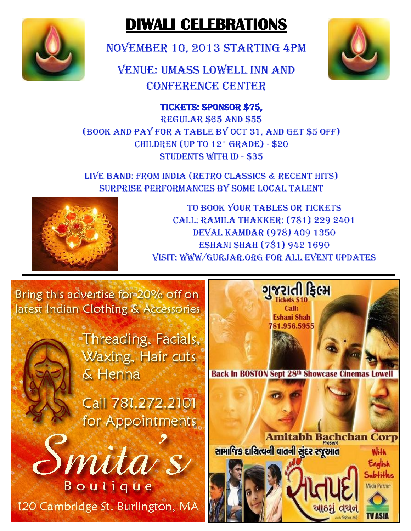

# **DIWALI CELEBRATIONS**

NOVEMBER 10, 2013 starting 4PM

VENUE: UMASS Lowell Inn and Conference Center



### Tickets: Sponsor \$75,

Regular \$65 and \$55 (Book and Pay for a Table by Oct 31, and get \$5 off) CHILDREN (UP TO  $12^{\pi}$  GRADE) - \$20 Students with ID - \$35

Live Band: From India (retro classics & recent hits) Surprise performances by some local Talent



To book your tables or tickets Call: Ramila Thakker: (781) 229 2401 Deval kamdar (978) 409 1350 ESHANI SHAH (781) 942 1690 Visit: www/gurjar.org for all event updates

Bring this advertise for 20% off on latest Indian Clothing & Accessories

> Threading, Facials, Waxing, Hair cuts & Henna

Call 781.272.2101 for Appointments